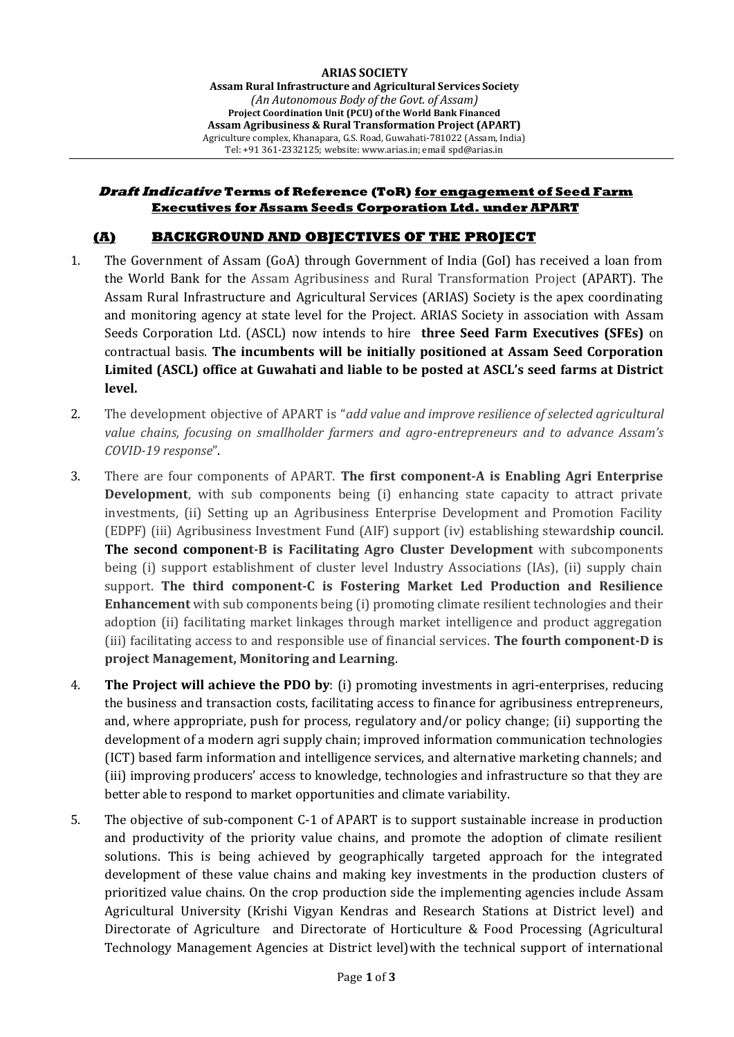#### **Draft Indicative Terms of Reference (ToR) for engagement of Seed Farm Executives for Assam Seeds Corporation Ltd. under APART**

#### **(A) BACKGROUND AND OBJECTIVES OF THE PROJECT**

- 1. The Government of Assam (GoA) through Government of India (GoI) has received a loan from the World Bank for the Assam Agribusiness and Rural Transformation Project (APART). The Assam Rural Infrastructure and Agricultural Services (ARIAS) Society is the apex coordinating and monitoring agency at state level for the Project. ARIAS Society in association with Assam Seeds Corporation Ltd. (ASCL) now intends to hire **three Seed Farm Executives (SFEs)** on contractual basis. **The incumbents will be initially positioned at Assam Seed Corporation Limited (ASCL) office at Guwahati and liable to be posted at ASCL's seed farms at District level.**
- 2. The development objective of APART is "*add value and improve resilience of selected agricultural value chains, focusing on smallholder farmers and agro-entrepreneurs and to advance Assam's COVID-19 response*".
- 3. There are four components of APART. **The first component-A is Enabling Agri Enterprise Development**, with sub components being (i) enhancing state capacity to attract private investments, (ii) Setting up an Agribusiness Enterprise Development and Promotion Facility (EDPF) (iii) Agribusiness Investment Fund (AIF) support (iv) establishing stewardship council. **The second component-B is Facilitating Agro Cluster Development** with subcomponents being (i) support establishment of cluster level Industry Associations (IAs), (ii) supply chain support. **The third component-C is Fostering Market Led Production and Resilience Enhancement** with sub components being (i) promoting climate resilient technologies and their adoption (ii) facilitating market linkages through market intelligence and product aggregation (iii) facilitating access to and responsible use of financial services. **The fourth component-D is project Management, Monitoring and Learning**.
- 4. **The Project will achieve the PDO by**: (i) promoting investments in agri-enterprises, reducing the business and transaction costs, facilitating access to finance for agribusiness entrepreneurs, and, where appropriate, push for process, regulatory and/or policy change; (ii) supporting the development of a modern agri supply chain; improved information communication technologies (ICT) based farm information and intelligence services, and alternative marketing channels; and (iii) improving producers' access to knowledge, technologies and infrastructure so that they are better able to respond to market opportunities and climate variability.
- 5. The objective of sub-component C-1 of APART is to support sustainable increase in production and productivity of the priority value chains, and promote the adoption of climate resilient solutions. This is being achieved by geographically targeted approach for the integrated development of these value chains and making key investments in the production clusters of prioritized value chains. On the crop production side the implementing agencies include Assam Agricultural University (Krishi Vigyan Kendras and Research Stations at District level) and Directorate of Agriculture and Directorate of Horticulture & Food Processing (Agricultural Technology Management Agencies at District level)with the technical support of international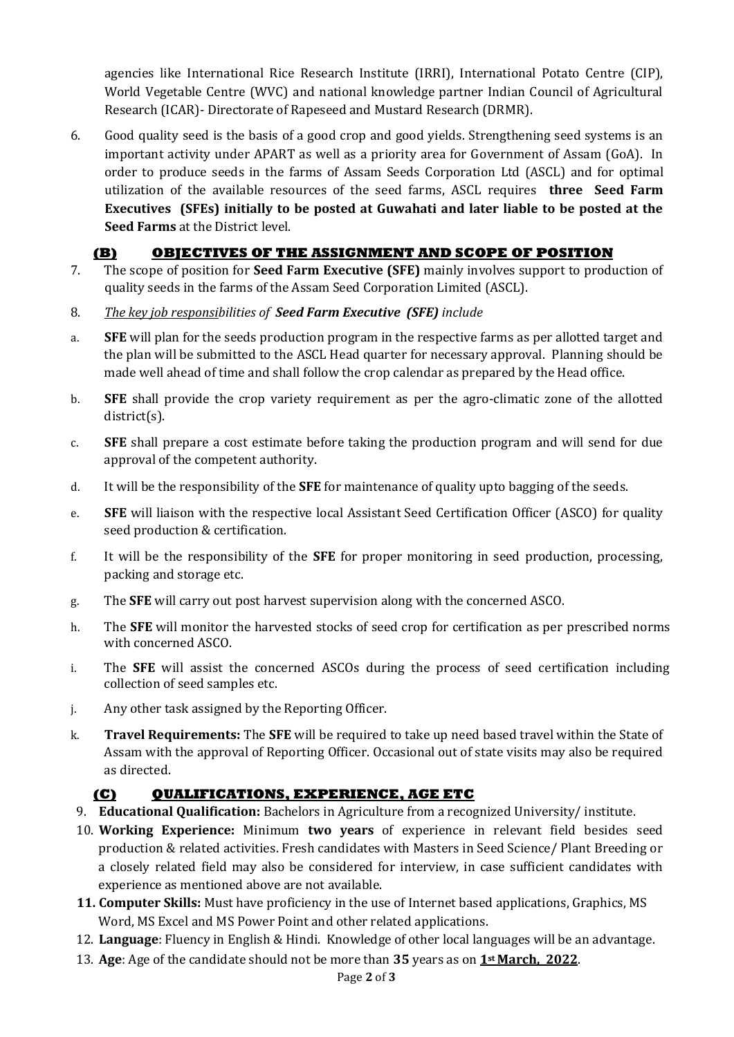agencies like International Rice Research Institute (IRRI), International Potato Centre (CIP), World Vegetable Centre (WVC) and national knowledge partner Indian Council of Agricultural Research (ICAR)- Directorate of Rapeseed and Mustard Research (DRMR).

6. Good quality seed is the basis of a good crop and good yields. Strengthening seed systems is an important activity under APART as well as a priority area for Government of Assam (GoA). In order to produce seeds in the farms of Assam Seeds Corporation Ltd (ASCL) and for optimal utilization of the available resources of the seed farms, ASCL requires **three Seed Farm Executives (SFEs) initially to be posted at Guwahati and later liable to be posted at the Seed Farms** at the District level.

# **(B) OBJECTIVES OF THE ASSIGNMENT AND SCOPE OF POSITION**

- 7. The scope of position for **Seed Farm Executive (SFE)** mainly involves support to production of quality seeds in the farms of the Assam Seed Corporation Limited (ASCL).
- 8. *The key job responsibilities of Seed Farm Executive (SFE) include*
- a. **SFE** will plan for the seeds production program in the respective farms as per allotted target and the plan will be submitted to the ASCL Head quarter for necessary approval. Planning should be made well ahead of time and shall follow the crop calendar as prepared by the Head office.
- b. **SFE** shall provide the crop variety requirement as per the agro-climatic zone of the allotted district(s).
- c. **SFE** shall prepare a cost estimate before taking the production program and will send for due approval of the competent authority.
- d. It will be the responsibility of the **SFE** for maintenance of quality upto bagging of the seeds.
- e. **SFE** will liaison with the respective local Assistant Seed Certification Officer (ASCO) for quality seed production & certification.
- f. It will be the responsibility of the **SFE** for proper monitoring in seed production, processing, packing and storage etc.
- g. The **SFE** will carry out post harvest supervision along with the concerned ASCO.
- h. The **SFE** will monitor the harvested stocks of seed crop for certification as per prescribed norms with concerned ASCO.
- i. The **SFE** will assist the concerned ASCOs during the process of seed certification including collection of seed samples etc.
- j. Any other task assigned by the Reporting Officer.
- k. **Travel Requirements:** The **SFE** will be required to take up need based travel within the State of Assam with the approval of Reporting Officer. Occasional out of state visits may also be required as directed.

## **(C) QUALIFICATIONS, EXPERIENCE, AGE ETC**

- 9. **Educational Qualification:** Bachelors in Agriculture from a recognized University/ institute.
- 10. **Working Experience:** Minimum **two years** of experience in relevant field besides seed production & related activities. Fresh candidates with Masters in Seed Science/ Plant Breeding or a closely related field may also be considered for interview, in case sufficient candidates with experience as mentioned above are not available.
- **11. Computer Skills:** Must have proficiency in the use of Internet based applications, Graphics, MS Word, MS Excel and MS Power Point and other related applications.
- 12. **Language**: Fluency in English & Hindi. Knowledge of other local languages will be an advantage.
- 13. **Age**: Age of the candidate should not be more than **35** years as on **1st March, 2022**.